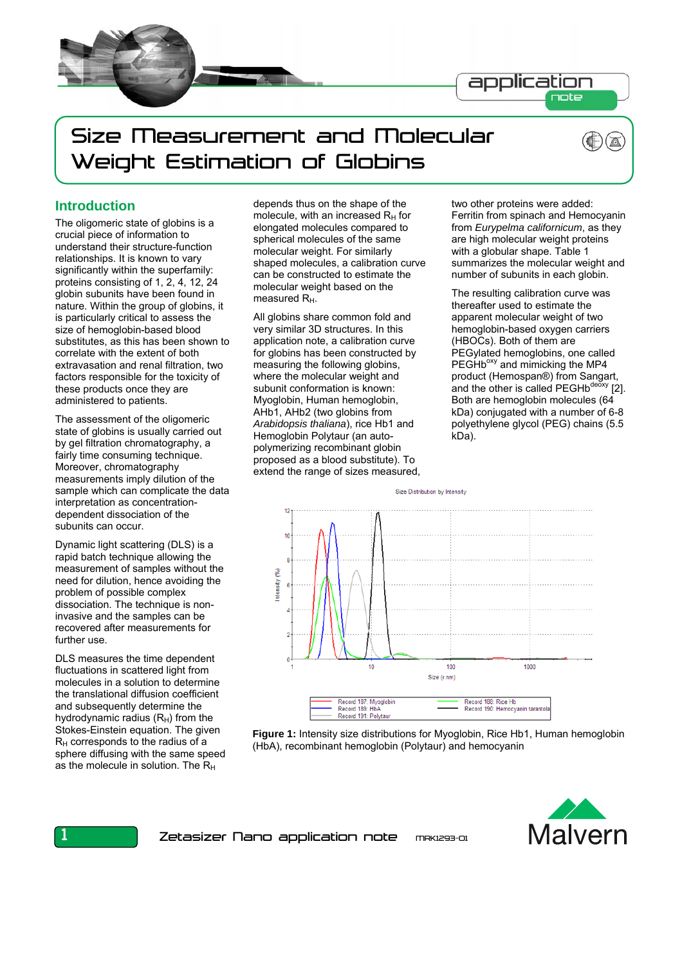

# Size Measurement and Molecular Weight Estimation of Globins

## **Introduction**

The oligomeric state of globins is a crucial piece of information to understand their structure-function relationships. It is known to vary significantly within the superfamily: proteins consisting of 1, 2, 4, 12, 24 globin subunits have been found in nature. Within the group of globins, it is particularly critical to assess the size of hemoglobin-based blood substitutes, as this has been shown to correlate with the extent of both extravasation and renal filtration, two factors responsible for the toxicity of these products once they are administered to patients.

The assessment of the oligomeric state of globins is usually carried out by gel filtration chromatography, a fairly time consuming technique. Moreover, chromatography measurements imply dilution of the sample which can complicate the data interpretation as concentrationdependent dissociation of the subunits can occur.

Dynamic light scattering (DLS) is a rapid batch technique allowing the measurement of samples without the need for dilution, hence avoiding the problem of possible complex dissociation. The technique is noninvasive and the samples can be recovered after measurements for further use.

DLS measures the time dependent fluctuations in scattered light from molecules in a solution to determine the translational diffusion coefficient and subsequently determine the hydrodynamic radius  $(R_H)$  from the Stokes-Einstein equation. The given  $R_H$  corresponds to the radius of a sphere diffusing with the same speed as the molecule in solution. The  $R_H$ 

depends thus on the shape of the molecule, with an increased  $R_H$  for elongated molecules compared to spherical molecules of the same molecular weight. For similarly shaped molecules, a calibration curve can be constructed to estimate the molecular weight based on the measured R<sub>H</sub>.

All globins share common fold and very similar 3D structures. In this application note, a calibration curve for globins has been constructed by measuring the following globins, where the molecular weight and subunit conformation is known: Myoglobin, Human hemoglobin, AHb1, AHb2 (two globins from *Arabidopsis thaliana*), rice Hb1 and Hemoglobin Polytaur (an autopolymerizing recombinant globin proposed as a blood substitute). To extend the range of sizes measured, two other proteins were added: Ferritin from spinach and Hemocyanin from *Eurypelma californicum*, as they are high molecular weight proteins with a globular shape. Table 1 summarizes the molecular weight and number of subunits in each globin.

The resulting calibration curve was thereafter used to estimate the apparent molecular weight of two hemoglobin-based oxygen carriers (HBOCs). Both of them are PEGylated hemoglobins, one called PEGHb<sup>oxy</sup> and mimicking the MP4 product (Hemospan®) from Sangart, and the other is called PEGHb<sup>deoxy</sup> [2]. Both are hemoglobin molecules (64 kDa) conjugated with a number of 6-8 polyethylene glycol (PEG) chains (5.5 kDa).



**Figure 1:** Intensity size distributions for Myoglobin, Rice Hb1, Human hemoglobin (HbA), recombinant hemoglobin (Polytaur) and hemocyanin

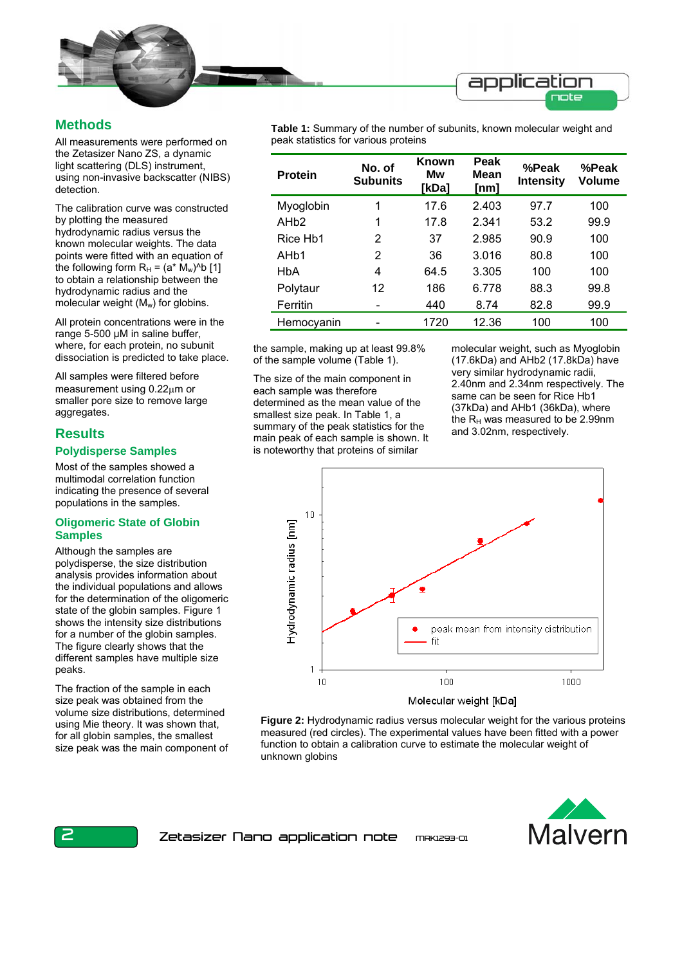

# **Methods**

All measurements were performed on the Zetasizer Nano ZS, a dynamic light scattering (DLS) instrument, using non-invasive backscatter (NIBS) detection.

The calibration curve was constructed by plotting the measured hydrodynamic radius versus the known molecular weights. The data points were fitted with an equation of the following form  $R_H = (a^* M_w)^{\wedge} b$  [1] to obtain a relationship between the hydrodynamic radius and the molecular weight  $(M_w)$  for globins.

All protein concentrations were in the range 5-500 μM in saline buffer, where, for each protein, no subunit dissociation is predicted to take place.

All samples were filtered before measurement using 0.22μm or smaller pore size to remove large aggregates.

## **Results**

### **Polydisperse Samples**

Most of the samples showed a multimodal correlation function indicating the presence of several populations in the samples.

### **Oligomeric State of Globin Samples**

Although the samples are polydisperse, the size distribution analysis provides information about the individual populations and allows for the determination of the oligomeric state of the globin samples. Figure 1 shows the intensity size distributions for a number of the globin samples. The figure clearly shows that the different samples have multiple size peaks.

The fraction of the sample in each size peak was obtained from the volume size distributions, determined using Mie theory. It was shown that, for all globin samples, the smallest size peak was the main component of **Table 1:** Summary of the number of subunits, known molecular weight and peak statistics for various proteins

| <b>Protein</b>    | No. of<br><b>Subunits</b> | Known<br>Mw<br>[kDa] | Peak<br>Mean<br>[nm] | %Peak<br><b>Intensity</b> | %Peak<br>Volume |
|-------------------|---------------------------|----------------------|----------------------|---------------------------|-----------------|
| Myoglobin         | 1                         | 17.6                 | 2.403                | 97.7                      | 100             |
| AHb2              | 1                         | 17.8                 | 2.341                | 53.2                      | 99.9            |
| Rice Hb1          | 2                         | 37                   | 2.985                | 90.9                      | 100             |
| AH <sub>b</sub> 1 | 2                         | 36                   | 3.016                | 80.8                      | 100             |
| HbA               | 4                         | 64.5                 | 3.305                | 100                       | 100             |
| Polytaur          | 12                        | 186                  | 6.778                | 88.3                      | 99.8            |
| Ferritin          |                           | 440                  | 8.74                 | 82.8                      | 99.9            |
| Hemocyanin        |                           | 1720                 | 12.36                | 100                       | 100             |

the sample, making up at least 99.8% of the sample volume (Table 1).

The size of the main component in each sample was therefore determined as the mean value of the smallest size peak. In Table 1, a summary of the peak statistics for the main peak of each sample is shown. It is noteworthy that proteins of similar

molecular weight, such as Myoglobin (17.6kDa) and AHb2 (17.8kDa) have very similar hydrodynamic radii, 2.40nm and 2.34nm respectively. The same can be seen for Rice Hb1 (37kDa) and AHb1 (36kDa), where the  $R_H$  was measured to be 2.99nm and 3.02nm, respectively.









Zetasizer Nano application note mrkiz93-01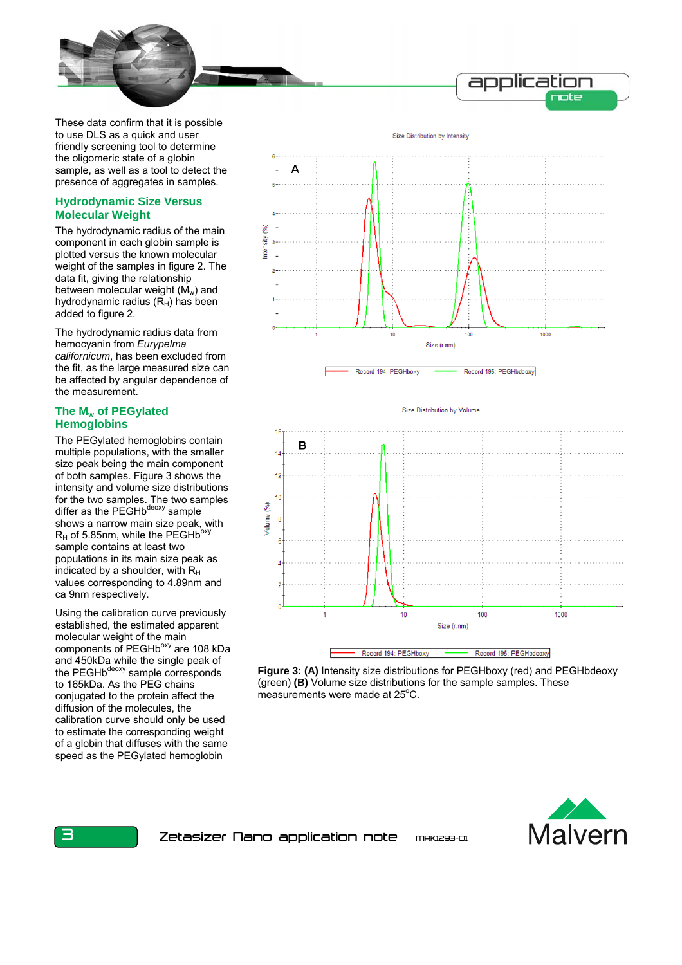

These data confirm that it is possible to use DLS as a quick and user friendly screening tool to determine the oligomeric state of a globin sample, as well as a tool to detect the presence of aggregates in samples.

### **Hydrodynamic Size Versus Molecular Weight**

The hydrodynamic radius of the main component in each globin sample is plotted versus the known molecular weight of the samples in figure 2. The data fit, giving the relationship between molecular weight  $(M_w)$  and hydrodynamic radius  $(R_H)$  has been added to figure 2.

The hydrodynamic radius data from hemocyanin from *Eurypelma californicum*, has been excluded from the fit, as the large measured size can be affected by angular dependence of the measurement.

## **The Mw of PEGylated Hemoglobins**

The PEGylated hemoglobins contain multiple populations, with the smaller size peak being the main component of both samples. Figure 3 shows the intensity and volume size distributions for the two samples. The two samples differ as the PEGHb<sup>deoxy</sup> sample shows a narrow main size peak, with  $R_H$  of 5.85nm, while the PEGHb<sup>oxy</sup> sample contains at least two populations in its main size peak as indicated by a shoulder, with  $R_H$ values corresponding to 4.89nm and ca 9nm respectively.

Using the calibration curve previously established, the estimated apparent molecular weight of the main components of PEGHb<sup>oxy</sup> are 108 kDa and 450kDa while the single peak of the PEGHb<sup>deoxy</sup> sample corresponds to 165kDa. As the PEG chains conjugated to the protein affect the diffusion of the molecules, the calibration curve should only be used to estimate the corresponding weight of a globin that diffuses with the same speed as the PEGylated hemoglobin



Size Distribution by Volume 16 B  $\overline{14}$  $12$  $10$ E /olume  $\overline{2}$  $10<sup>1</sup>$  $100$ 1000 Size (r.nm) Record 194: PEGHboxy Record 195: PEGHbdeoxy

**Figure 3: (A)** Intensity size distributions for PEGHboxy (red) and PEGHbdeoxy (green) **(B)** Volume size distributions for the sample samples. These measurements were made at 25°C.